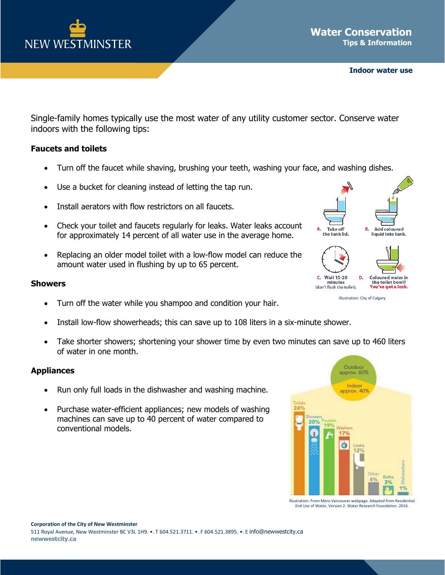

Single-family homes typically use the most water of any utility customer sector. Conserve water indoors with the following tips:

## **Faucets and toilets**

- Turn off the faucet while shaving, brushing your teeth, washing your face, and washing dishes.
- Use a bucket for cleaning instead of letting the tap run.
- Install aerators with flow restrictors on all faucets.
- Check your toilet and faucets regularly for leaks. Water leaks account for approximately 14 percent of all water use in the average home.
- Replacing an older model toilet with a low-flow model can reduce the amount water used in flushing by up to 65 percent.

## **Showers**

- Turn off the water while you shampoo and condition your hair.
- Install low-flow showerheads; this can save up to 108 liters in a six-minute shower.
- Take shorter showers; shortening your shower time by even two minutes can save up to 460 liters of water in one month.

## **Appliances**

- Run only full loads in the dishwasher and washing machine.
- Purchase water-efficient appliances; new models of washing machines can save up to 40 percent of water compared to conventional models.



Illustration: From Mero Vancouver webpage. Adapted from Residential End Use of Water, Version 2. Water Research Foundation. 2016.



Illustration: City of Calgary